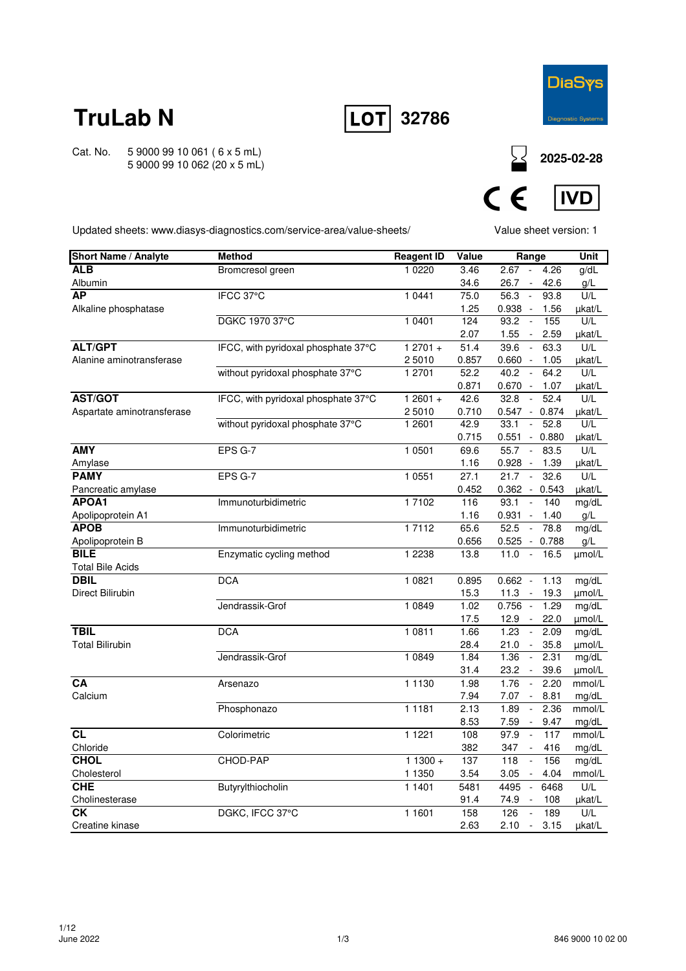

**32786**

Cat. No. 5 9000 99 10 061 ( 6 x 5 mL) 5 9000 99 10 062 (20 x 5 mL)

**<sup>2025-02-28</sup>**



Updated sheets: www.diasys-diagnostics.com/service-area/value-sheets/

Value sheet version: 1

| <b>Short Name / Analyte</b> | <b>Method</b>                       | <b>Reagent ID</b> | Value | Range                               |       | Unit   |
|-----------------------------|-------------------------------------|-------------------|-------|-------------------------------------|-------|--------|
| <b>ALB</b>                  | Bromcresol green                    | 1 0220            | 3.46  | 2.67<br>$\sim$                      | 4.26  | g/dL   |
| Albumin                     |                                     |                   | 34.6  | $\sim$<br>26.7                      | 42.6  | g/L    |
| <b>AP</b>                   | IFCC 37°C                           | 1 0441            | 75.0  | 56.3<br>$\sim$                      | 93.8  | U/L    |
| Alkaline phosphatase        |                                     |                   | 1.25  | $0.938 -$                           | 1.56  | µkat/L |
|                             | DGKC 1970 37°C                      | 1 0401            | 124   | 93.2<br>$\sim$                      | 155   | U/L    |
|                             |                                     |                   | 2.07  | 1.55<br>$\sim$                      | 2.59  | µkat/L |
| <b>ALT/GPT</b>              | IFCC, with pyridoxal phosphate 37°C | $12701 +$         | 51.4  | 39.6<br>$\mathcal{L}_{\mathcal{A}}$ | 63.3  | U/L    |
| Alanine aminotransferase    |                                     | 25010             | 0.857 | $0.660 -$                           | 1.05  | µkat/L |
|                             | without pyridoxal phosphate 37°C    | 1 2701            | 52.2  | 40.2<br>$\sim$                      | 64.2  | U/L    |
|                             |                                     |                   | 0.871 | $0.670 -$                           | 1.07  | µkat/L |
| <b>AST/GOT</b>              | IFCC, with pyridoxal phosphate 37°C | $12601 +$         | 42.6  | 32.8<br>$\sim$                      | 52.4  | U/L    |
| Aspartate aminotransferase  |                                     | 25010             | 0.710 | $0.547 - 0.874$                     |       | µkat/L |
|                             | without pyridoxal phosphate 37°C    | 1 2601            | 42.9  | 33.1<br>$\sim$                      | 52.8  | U/L    |
|                             |                                     |                   | 0.715 | $0.551 - 0.880$                     |       | µkat/L |
| <b>AMY</b>                  | EPS G-7                             | 1 0501            | 69.6  | 55.7<br>$\sim$                      | 83.5  | U/L    |
| Amylase                     |                                     |                   | 1.16  | $0.928 -$                           | 1.39  | µkat/L |
| <b>PAMY</b>                 | EPS G-7                             | 1 0551            | 27.1  | 21.7<br>$\overline{\phantom{a}}$    | 32.6  | U/L    |
| Pancreatic amylase          |                                     |                   | 0.452 | $0.362 - 0.543$                     |       | µkat/L |
| APOA1                       | Immunoturbidimetric                 | 17102             | 116   | 93.1<br>$\sim$                      | 140   | mg/dL  |
| Apolipoprotein A1           |                                     |                   | 1.16  | $0.931 - 1.40$                      |       | g/L    |
| <b>APOB</b>                 | Immunoturbidimetric                 | 17112             | 65.6  | 52.5<br>$\blacksquare$              | 78.8  | mg/dL  |
| Apolipoprotein B            |                                     |                   | 0.656 | $0.525 -$                           | 0.788 | g/L    |
| <b>BILE</b>                 | Enzymatic cycling method            | 1 2 2 3 8         | 13.8  | 11.0<br>$\sim$                      | 16.5  | µmol/L |
| <b>Total Bile Acids</b>     |                                     |                   |       |                                     |       |        |
| <b>DBIL</b>                 | <b>DCA</b>                          | 1 0821            | 0.895 | $0.662 -$                           | 1.13  | mg/dL  |
| Direct Bilirubin            |                                     |                   | 15.3  | 11.3<br>$\sim$                      | 19.3  | µmol/L |
|                             | Jendrassik-Grof                     | 1 0 8 4 9         | 1.02  | $0.756 -$                           | 1.29  | mg/dL  |
|                             |                                     |                   | 17.5  | $12.9 -$                            | 22.0  | umol/L |
| <b>TBIL</b>                 | <b>DCA</b>                          | 1 0811            | 1.66  | 1.23<br>$\sim$                      | 2.09  | mg/dL  |
| <b>Total Bilirubin</b>      |                                     |                   | 28.4  | 21.0<br>$\sim$                      | 35.8  | µmol/L |
|                             | Jendrassik-Grof                     | 1 0 8 4 9         | 1.84  | 1.36<br>$\sim$                      | 2.31  | mg/dL  |
|                             |                                     |                   | 31.4  | 23.2<br>$\sim$                      | 39.6  | umol/L |
| CA                          | Arsenazo                            | 1 1 1 3 0         | 1.98  | 1.76<br>$\blacksquare$              | 2.20  | mmol/L |
| Calcium                     |                                     |                   | 7.94  | 7.07 -                              | 8.81  | mg/dL  |
|                             | Phosphonazo                         | 1 1 1 8 1         | 2.13  | 1.89<br>$\sim$                      | 2.36  | mmol/L |
|                             |                                     |                   | 8.53  | 7.59<br>$\blacksquare$              | 9.47  | mg/dL  |
| <b>CL</b>                   | Colorimetric                        | 1 1 2 2 1         | 108   | 97.9<br>$\overline{\phantom{a}}$    | 117   | mmol/L |
| Chloride                    |                                     |                   | 382   | 347                                 | 416   | mg/dL  |
| <b>CHOL</b>                 | CHOD-PAP                            | $11300 +$         | 137   | 118<br>$\overline{\phantom{a}}$     | 156   | mg/dL  |
| Cholesterol                 |                                     | 1 1 3 5 0         | 3.54  | 3.05<br>$\sim$                      | 4.04  | mmol/L |
| <b>CHE</b>                  | Butyrylthiocholin                   | 1 1401            | 5481  | 4495<br>$\mathbb{Z}$                | 6468  | U/L    |
| Cholinesterase              |                                     |                   | 91.4  | 74.9<br>$\sim$                      | 108   | µkat/L |
| СK                          | DGKC, IFCC 37°C                     | 1 1 6 0 1         | 158   | 126<br>$\Box$                       | 189   | U/L    |
| Creatine kinase             |                                     |                   | 2.63  | 2.10<br>$\sim$                      | 3.15  | µkat/L |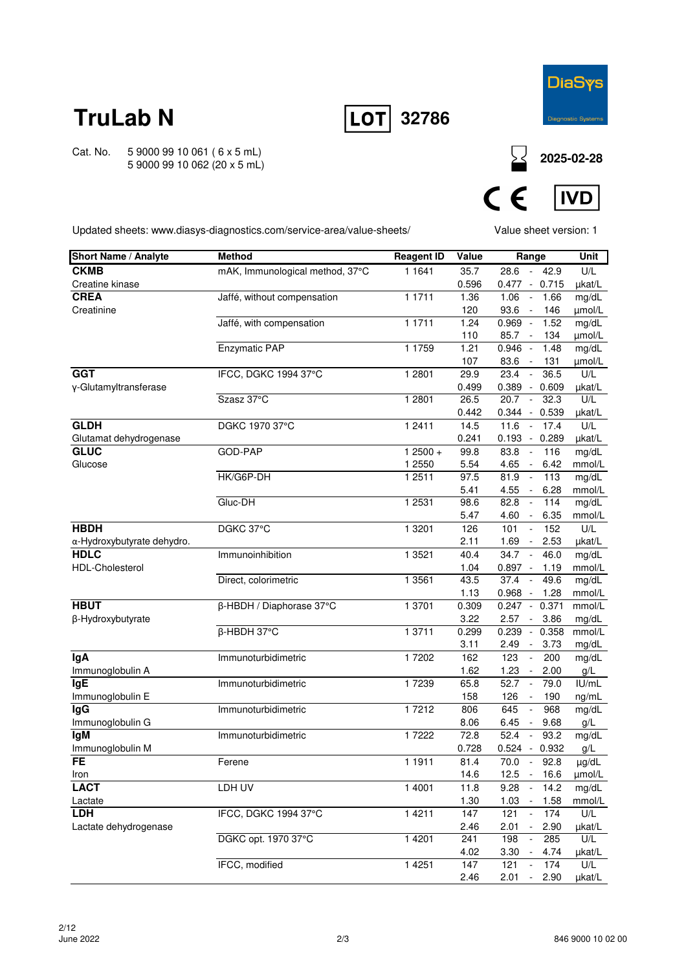

Cat. No. 5 9000 99 10 061 ( 6 x 5 mL) 5 9000 99 10 062 (20 x 5 mL) **32786**

**2025-02-28**

 $C \in$ **IVD** 

Updated sheets: www.diasys-diagnostics.com/service-area/value-sheets/

Value sheet version: 1

| <b>Short Name / Analyte</b> | <b>Method</b>                   | <b>Reagent ID</b> | Value | Range                               |         | Unit   |
|-----------------------------|---------------------------------|-------------------|-------|-------------------------------------|---------|--------|
| <b>CKMB</b>                 | mAK, Immunological method, 37°C | 1 1 6 4 1         | 35.7  | 28.6                                | $-42.9$ | U/L    |
| Creatine kinase             |                                 |                   | 0.596 | $0.477 - 0.715$                     |         | µkat/L |
| <b>CREA</b>                 | Jaffé, without compensation     | 1 1 7 1 1         | 1.36  | 1.06<br>$\overline{\phantom{a}}$    | 1.66    | mg/dL  |
| Creatinine                  |                                 |                   | 120   | 93.6<br>$\sim$                      | 146     | µmol/L |
|                             | Jaffé, with compensation        | 1 1711            | 1.24  | $0.969 -$                           | 1.52    | mg/dL  |
|                             |                                 |                   | 110   | 85.7<br>$\sim$                      | 134     | µmol/L |
|                             | <b>Enzymatic PAP</b>            | 1 1 7 5 9         | 1.21  | $0.946 -$                           | 1.48    | mg/dL  |
|                             |                                 |                   | 107   | 83.6<br>$\sim$                      | 131     | µmol/L |
| <b>GGT</b>                  | IFCC, DGKC 1994 37°C            | 1 2801            | 29.9  | 23.4<br>$\blacksquare$              | 36.5    | U/L    |
| y-Glutamyltransferase       |                                 |                   | 0.499 | $0.389 - 0.609$                     |         | µkat/L |
|                             | Szasz 37°C                      | 1 2 8 0 1         | 26.5  | 20.7<br>$\blacksquare$              | 32.3    | U/L    |
|                             |                                 |                   | 0.442 | $0.344 - 0.539$                     |         | µkat/L |
| <b>GLDH</b>                 | DGKC 1970 37°C                  | 1 2411            | 14.5  | 11.6<br>$\mathcal{L}_{\mathcal{A}}$ | 17.4    | U/L    |
| Glutamat dehydrogenase      |                                 |                   | 0.241 | $0.193 -$                           | 0.289   | µkat/L |
| <b>GLUC</b>                 | GOD-PAP                         | $12500 +$         | 99.8  | 83.8<br>$\sim$                      | 116     | mg/dL  |
| Glucose                     |                                 | 1 2550            | 5.54  | 4.65<br>$\sim$                      | 6.42    | mmol/L |
|                             | HK/G6P-DH                       | 1 2 5 1 1         | 97.5  | 81.9<br>$\overline{\phantom{a}}$    | 113     | mg/dL  |
|                             |                                 |                   | 5.41  | 4.55<br>$\sim$                      | 6.28    | mmol/L |
|                             | Gluc-DH                         | 1 2531            | 98.6  | 82.8<br>$\overline{\phantom{a}}$    | 114     | mg/dL  |
|                             |                                 |                   | 5.47  | 4.60<br>$\overline{\phantom{a}}$    | 6.35    | mmol/L |
| <b>HBDH</b>                 | DGKC 37°C                       | 1 3 2 0 1         | 126   | 101<br>$\mathbf{r}$                 | 152     | U/L    |
| α-Hydroxybutyrate dehydro.  |                                 |                   | 2.11  | 1.69<br>$\sim$                      | 2.53    | µkat/L |
| <b>HDLC</b>                 | Immunoinhibition                | 1 3521            | 40.4  | 34.7<br>$\sim$                      | 46.0    | mg/dL  |
| <b>HDL-Cholesterol</b>      |                                 |                   | 1.04  | $0.897 -$                           | 1.19    | mmol/L |
|                             | Direct, colorimetric            | 1 3 5 6 1         | 43.5  | 37.4<br>$\sim$                      | 49.6    | mg/dL  |
|                             |                                 |                   | 1.13  | $0.968 -$                           | 1.28    | mmol/L |
| <b>HBUT</b>                 | β-HBDH / Diaphorase 37°C        | 1 3701            | 0.309 | $0.247 -$                           | 0.371   | mmol/L |
| β-Hydroxybutyrate           |                                 |                   | 3.22  | 2.57<br>$\blacksquare$              | 3.86    | mg/dL  |
|                             | $\overline{\beta}$ -HBDH 37°C   | 1 3711            | 0.299 | 0.239<br>$\sim$                     | 0.358   | mmol/L |
|                             |                                 |                   | 3.11  | 2.49<br>$\sim$                      | 3.73    | mg/dL  |
| lgA                         | Immunoturbidimetric             | 17202             | 162   | 123<br>$\Box$                       | 200     | mg/dL  |
| Immunoglobulin A            |                                 |                   | 1.62  | 1.23<br>$\sim$                      | 2.00    | g/L    |
| <b>IgE</b>                  | Immunoturbidimetric             | 17239             | 65.8  | 52.7<br>$\sim$                      | 79.0    | IU/mL  |
| Immunoglobulin E            |                                 |                   | 158   | 126<br>$\overline{\phantom{a}}$     | 190     | ng/mL  |
| <b>IgG</b>                  | Immunoturbidimetric             | 17212             | 806   | 645                                 | 968     | mg/dL  |
| Immunoglobulin G            |                                 |                   | 8.06  | 6.45<br>$\overline{\phantom{a}}$    | 9.68    | g/L    |
| lgM                         | Immunoturbidimetric             | 17222             | 72.8  | 52.4<br>$\sim$                      | 93.2    | mg/dL  |
| Immunoglobulin M            |                                 |                   | 0.728 | $0.524 - 0.932$                     |         | g/L    |
| FE                          | Ferene                          | 1 1911            | 81.4  | 70.0 -                              | 92.8    | µg/dL  |
| Iron                        |                                 |                   | 14.6  | $12.5 - 16.6$                       |         | µmol/L |
| <b>LACT</b>                 | LDH UV                          | 1 4001            | 11.8  | 9.28                                | 14.2    | mg/dL  |
| Lactate                     |                                 |                   | 1.30  | 1.03<br>$\sim$                      | 1.58    | mmol/L |
| <b>LDH</b>                  | IFCC, DGKC 1994 37°C            | 1 4 2 1 1         | 147   | 121<br>$\blacksquare$               | 174     | U/L    |
| Lactate dehydrogenase       |                                 |                   | 2.46  | 2.01<br>$\blacksquare$              | 2.90    | µkat/L |
|                             | DGKC opt. 1970 37°C             | 1 4 2 0 1         | 241   | $\omega$<br>198                     | 285     | U/L    |
|                             |                                 |                   | 4.02  | 3.30<br>$\sim$                      | 4.74    | µkat/L |
|                             | IFCC, modified                  | 1 4 2 5 1         | 147   | 121<br>$\overline{\phantom{a}}$     | 174     | U/L    |
|                             |                                 |                   | 2.46  | 2.01<br>$\overline{\phantom{a}}$    | 2.90    | µkat/L |
|                             |                                 |                   |       |                                     |         |        |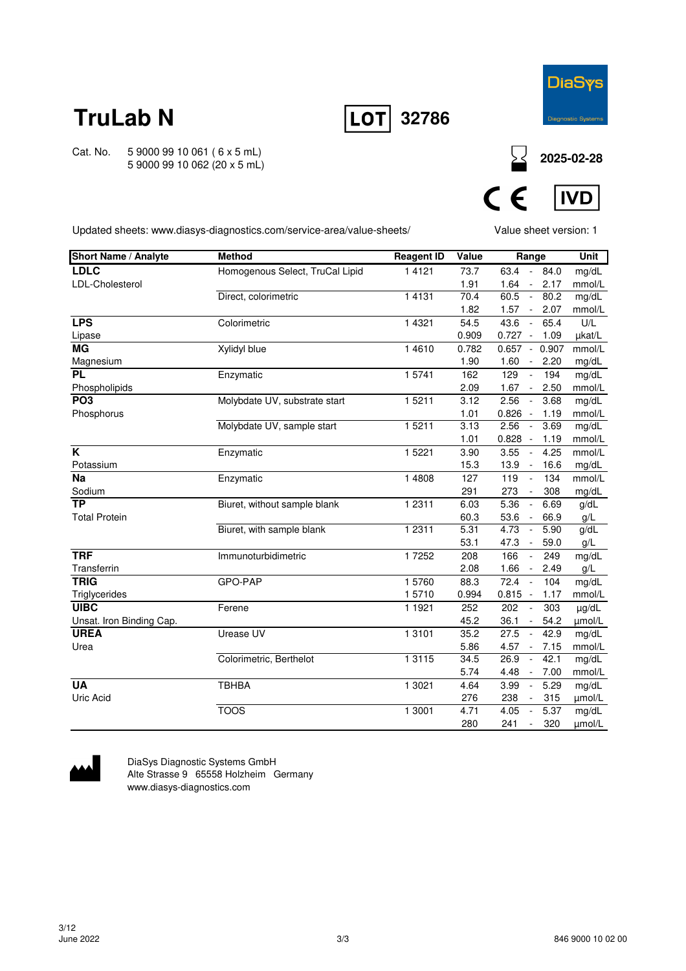





**2025-02-28**



Updated sheets: www.diasys-diagnostics.com/service-area/value-sheets/

Value sheet version: 1

| <b>Short Name / Analyte</b> | <b>Method</b>                   | <b>Reagent ID</b> | Value | Range                                       | Unit       |
|-----------------------------|---------------------------------|-------------------|-------|---------------------------------------------|------------|
| <b>LDLC</b>                 | Homogenous Select, TruCal Lipid | 1 4 1 2 1         | 73.7  | 63.4 - 84.0                                 | mg/dL      |
| LDL-Cholesterol             |                                 |                   | 1.91  | 1.64<br>2.17<br>$\sim$                      | mmol/L     |
|                             | Direct, colorimetric            | 1 4 1 3 1         | 70.4  | 60.5<br>80.2<br>$\sim$                      | mg/dL      |
|                             |                                 |                   | 1.82  | 1.57<br>$\sim$<br>2.07                      | mmol/L     |
| <b>LPS</b>                  | Colorimetric                    | 1 4 3 2 1         | 54.5  | 43.6<br>65.4<br>$\sim$                      | U/L        |
| Lipase                      |                                 |                   | 0.909 | $0.727 -$<br>1.09                           | µkat/L     |
| <b>MG</b>                   | Xylidyl blue                    | 14610             | 0.782 | $0.657 -$<br>0.907                          | mmol/L     |
| Magnesium                   |                                 |                   | 1.90  | 1.60<br>2.20<br>$\sim$                      | mg/dL      |
| <b>PL</b>                   | Enzymatic                       | 15741             | 162   | 129<br>194<br>$\omega$                      | mg/dL      |
| Phospholipids               |                                 |                   | 2.09  | 1.67<br>2.50<br>$\sim$                      | mmol/L     |
| PO <sub>3</sub>             | Molybdate UV, substrate start   | 15211             | 3.12  | 2.56<br>3.68<br>$\blacksquare$              | mg/dL      |
| Phosphorus                  |                                 |                   | 1.01  | $0.826 -$<br>1.19                           | mmol/L     |
|                             | Molybdate UV, sample start      | 15211             | 3.13  | 2.56<br>3.69<br>$\sim$                      | mg/dL      |
|                             |                                 |                   | 1.01  | $0.828 -$<br>1.19                           | mmol/L     |
| K                           | Enzymatic                       | 1 5 2 2 1         | 3.90  | 3.55<br>4.25<br>$\sim$                      | mmol/L     |
| Potassium                   |                                 |                   | 15.3  | 13.9<br>16.6<br>$\sim$                      | mg/dL      |
| <b>Na</b>                   | Enzymatic                       | 1 4808            | 127   | 134<br>119<br>$\blacksquare$                | mmol/L     |
| Sodium                      |                                 |                   | 291   | 273<br>308<br>$\blacksquare$                | mg/dL      |
| $\overline{TP}$             | Biuret, without sample blank    | 1 2 3 1 1         | 6.03  | 5.36<br>6.69<br>$\blacksquare$              | g/dL       |
| <b>Total Protein</b>        |                                 |                   | 60.3  | 53.6<br>66.9<br>$\sim$                      | g/L        |
|                             | Biuret, with sample blank       | 1 2 3 1 1         | 5.31  | 4.73<br>5.90<br>$\mathcal{L}$               | g/dL       |
|                             |                                 |                   | 53.1  | 47.3<br>59.0<br>$\sim$                      | g/L        |
| <b>TRF</b>                  | Immunoturbidimetric             | 17252             | 208   | 166<br>249<br>$\mathcal{L}_{\mathcal{A}}$   | mg/dL      |
| Transferrin                 |                                 |                   | 2.08  | 1.66<br>2.49<br>$\mathcal{L}_{\mathcal{A}}$ | g/L        |
| <b>TRIG</b>                 | GPO-PAP                         | 15760             | 88.3  | 72.4<br>104<br>$\sim$                       | mg/dL      |
| Triglycerides               |                                 | 15710             | 0.994 | $0.815 -$<br>1.17                           | mmol/L     |
| <b>UIBC</b>                 | Ferene                          | 1 1 9 2 1         | 252   | 202<br>303<br>$\blacksquare$                | $\mu$ g/dL |
| Unsat. Iron Binding Cap.    |                                 |                   | 45.2  | 36.1<br>54.2<br>$\blacksquare$              | µmol/L     |
| <b>UREA</b>                 | Urease UV                       | 1 3 1 0 1         | 35.2  | 27.5<br>42.9<br>$\mathcal{L}_{\mathcal{A}}$ | mg/dL      |
| Urea                        |                                 |                   | 5.86  | 4.57<br>7.15<br>$\sim$                      | mmol/L     |
|                             | Colorimetric, Berthelot         | 1 3 1 1 5         | 34.5  | 26.9<br>42.1<br>$\Box$                      | mg/dL      |
|                             |                                 |                   | 5.74  | 4.48<br>7.00<br>$\blacksquare$              | mmol/L     |
| <b>UA</b>                   | <b>TBHBA</b>                    | 1 3021            | 4.64  | 5.29<br>3.99<br>$\sim$                      | mg/dL      |
| Uric Acid                   |                                 |                   | 276   | 238<br>315<br>$\blacksquare$                | µmol/L     |
|                             | <b>TOOS</b>                     | 1 3001            | 4.71  | 5.37<br>4.05<br>$\sim$                      | mg/dL      |
|                             |                                 |                   | 280   | 241<br>320<br>$\omega$                      | µmol/L     |



DiaSys Diagnostic Systems GmbH Alte Strasse 9 65558 Holzheim Germany www.diasys-diagnostics.com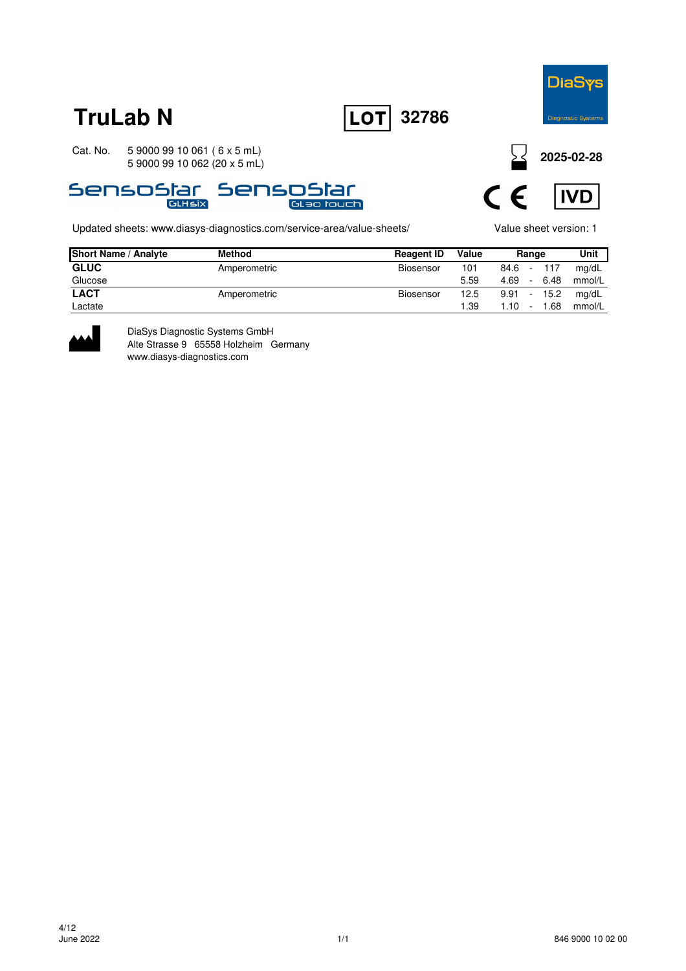





Updated sheets: www.diasys-diagnostics.com/service-area/value-sheets/ Value sheet version: 1

**2025-02-28**



| <b>Short Name / Analyte</b> | <b>Method</b> | <b>Reagent ID</b> | Value | Range |                 |      | Unit   |
|-----------------------------|---------------|-------------------|-------|-------|-----------------|------|--------|
| <b>GLUC</b>                 | Amperometric  | Biosensor         | 101   | 84.6  | $\sim$          | 117  | mg/dL  |
| Glucose                     |               |                   | 5.59  | 4.69  | $\sim$ 10 $\pm$ | 6.48 | mmol/L |
| <b>LACT</b>                 | Amperometric  | Biosensor         | 12.5  | 9.91  | $-15.2$         |      | mg/dL  |
| Lactate                     |               |                   | 1.39  | 1.10  | $\sim$          | 1.68 | mmol/L |



DiaSys Diagnostic Systems GmbH Alte Strasse 9 65558 Holzheim Germany www.diasys-diagnostics.com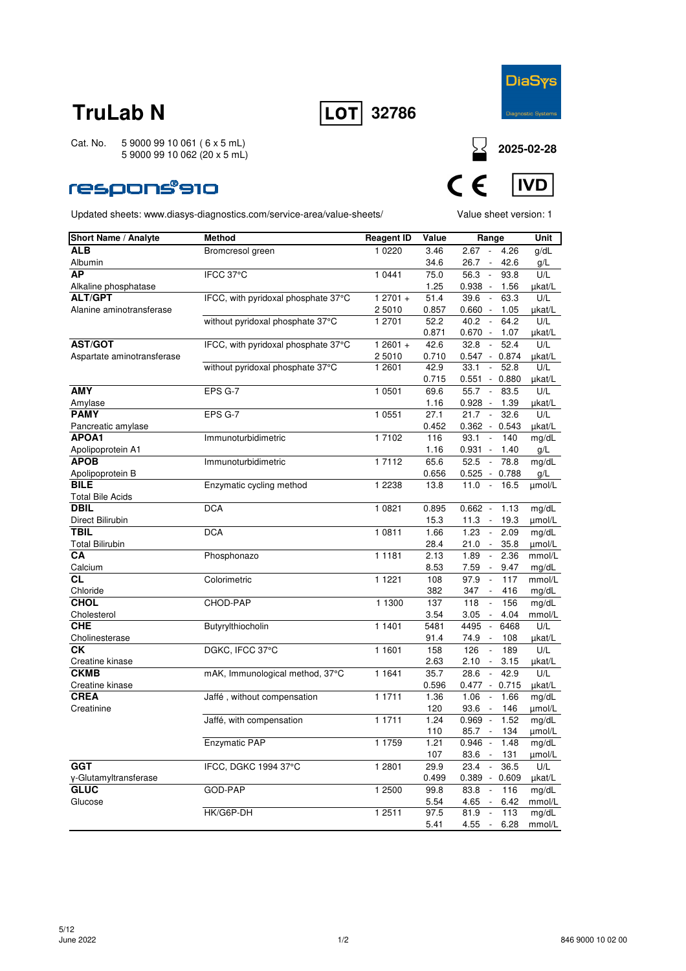



Cat. No. 5 9000 99 10 061 ( 6 x 5 mL) 5 9000 99 10 062 (20 x 5 mL)

### **respons®910**



| <b>Short Name / Analyte</b>            | <b>Method</b>                       | <b>Reagent ID</b> | Value | Range                                     | Unit   |
|----------------------------------------|-------------------------------------|-------------------|-------|-------------------------------------------|--------|
| <b>ALB</b>                             | Bromcresol green                    | 1 0 2 2 0         | 3.46  | $\sim$<br>2.67<br>4.26                    | g/dL   |
| Albumin                                |                                     |                   | 34.6  | 26.7 - 42.6                               | g/L    |
| АP                                     | IFCC 37°C                           | 1 0 4 4 1         | 75.0  | 56.3<br>93.8<br>$\sim$                    | U/L    |
| Alkaline phosphatase                   |                                     |                   | 1.25  | $0.938 -$<br>1.56                         | µkat/L |
| <b>ALT/GPT</b>                         | IFCC, with pyridoxal phosphate 37°C | $12701 +$         | 51.4  | 39.6<br>$\sim$<br>63.3                    | U/L    |
| Alanine aminotransferase               |                                     | 2 5010            | 0.857 | $0.660 -$<br>1.05                         | µkat/L |
|                                        | without pyridoxal phosphate 37°C    | 1 2701            | 52.2  | 40.2<br>64.2<br>$\overline{\phantom{a}}$  | U/L    |
|                                        |                                     |                   | 0.871 | $0.670 -$<br>1.07                         | µkat/L |
| <b>AST/GOT</b>                         | IFCC, with pyridoxal phosphate 37°C | $12601 +$         | 42.6  | 32.8<br>52.4<br>$\overline{\phantom{a}}$  | U/L    |
| Aspartate aminotransferase             |                                     | 2 5010            | 0.710 | $0.547 - 0.874$                           | µkat/L |
|                                        | without pyridoxal phosphate 37°C    | 1 2601            | 42.9  | $\sim$<br>52.8<br>33.1                    | U/L    |
|                                        |                                     |                   | 0.715 | $0.551 - 0.880$                           | µkat/L |
| <b>AMY</b>                             | EPS G-7                             | 1 0501            | 69.6  | 83.5<br>55.7<br>$\sim$                    | U/L    |
| Amylase                                |                                     |                   | 1.16  | 0.928<br>$\overline{\phantom{a}}$<br>1.39 | µkat/L |
| <b>PAMY</b>                            | EPS G-7                             | 1 0 5 5 1         | 27.1  | 32.6<br>21.7<br>$\overline{\phantom{a}}$  | U/L    |
| Pancreatic amylase                     |                                     |                   | 0.452 | $0.362 - 0.543$                           | µkat/L |
| APOA1                                  | Immunoturbidimetric                 | 1 7102            | 116   | 93.1<br>$\overline{\phantom{a}}$<br>140   | mg/dL  |
| Apolipoprotein A1                      |                                     |                   | 1.16  | $0.931 -$<br>1.40                         | g/L    |
| <b>APOB</b>                            | Immunoturbidimetric                 | 17112             | 65.6  | 52.5<br>$\overline{\phantom{a}}$<br>78.8  | mg/dL  |
| Apolipoprotein B<br><b>BILE</b>        |                                     | 1 2 2 3 8         | 0.656 | $0.525 -$<br>0.788<br>11.0<br>$\sim$      | g/L    |
|                                        | Enzymatic cycling method            |                   | 13.8  | 16.5                                      | µmol/L |
| <b>Total Bile Acids</b><br><b>DBIL</b> | <b>DCA</b>                          | 1 0 8 2 1         | 0.895 | $0.662 -$<br>1.13                         | mg/dL  |
| Direct Bilirubin                       |                                     |                   | 15.3  | 11.3<br>19.3<br>$\overline{\phantom{a}}$  | µmol/L |
| <b>TBIL</b>                            | <b>DCA</b>                          | 1 0811            | 1.66  | 1.23<br>2.09<br>$\Box$                    | mg/dL  |
| <b>Total Bilirubin</b>                 |                                     |                   | 28.4  | 21.0<br>35.8<br>$\sim$                    | µmol/L |
| CA                                     | Phosphonazo                         | 1 1 1 8 1         | 2.13  | $\sim$<br>2.36<br>1.89                    | mmol/L |
| Calcium                                |                                     |                   | 8.53  | 7.59<br>$\sim$<br>9.47                    | mg/dL  |
| СL                                     | Colorimetric                        | 1 1 2 2 1         | 108   | 97.9<br>$\overline{\phantom{a}}$<br>117   | mmol/L |
| Chloride                               |                                     |                   | 382   | 347<br>416                                | mg/dL  |
| <b>CHOL</b>                            | CHOD-PAP                            | 1 1300            | 137   | 118<br>$\mathbb{L}$<br>156                | mg/dL  |
| Cholesterol                            |                                     |                   | 3.54  | 3.05<br>4.04<br>$\sim$                    | mmol/L |
| <b>CHE</b>                             | Butyrylthiocholin                   | 1 1401            | 5481  | 4495<br>6468<br>$\overline{\phantom{a}}$  | U/L    |
| Cholinesterase                         |                                     |                   | 91.4  | 74.9<br>$\sim$<br>108                     | µkat/L |
| СK                                     | DGKC, IFCC 37°C                     | 1 1601            | 158   | 126<br>189<br>$\Box$                      | U/L    |
| Creatine kinase                        |                                     |                   | 2.63  | 2.10<br>3.15<br>$\blacksquare$            | µkat/L |
| <b>CKMB</b>                            | mAK, Immunological method, 37°C     | 1 1 6 4 1         | 35.7  | 42.9<br>28.6<br>$\overline{\phantom{a}}$  | U/L    |
| Creatine kinase                        |                                     |                   | 0.596 | $0.477 - 0.715$                           | µkat/L |
| <b>CREA</b>                            | Jaffé, without compensation         | 1 1711            | 1.36  | 1.06<br>$\overline{\phantom{a}}$<br>1.66  | mg/dL  |
| Creatinine                             |                                     |                   | 120   | 93.6<br>146                               | µmol/L |
|                                        | Jaffé, with compensation            | 1 1711            | 1.24  | $0.969 -$<br>1.52                         | mg/dL  |
|                                        |                                     |                   | 110   | 85.7 -<br>134                             | µmol/L |
|                                        | Enzymatic PAP                       | 1 1759            | 1.21  | 0.946<br>1.48                             | mg/dL  |
|                                        |                                     |                   | 107   | 83.6 - 131                                | µmol/L |
| <b>GGT</b>                             | IFCC, DGKC 1994 37°C                | 1 2 8 0 1         | 29.9  | 36.5<br>23.4                              | U/L    |
| γ-Glutamyltransferase                  |                                     |                   | 0.499 | $0.389 - 0.609$                           | µkat/L |
| <b>GLUC</b>                            | GOD-PAP                             | 1 2500            | 99.8  | $\mathbb{Z}^2$<br>83.8<br>116             | mg/dL  |
| Glucose                                |                                     |                   | 5.54  | $4.65 - 6.42$                             | mmol/L |
|                                        | HK/G6P-DH                           | 1 2 5 1 1         | 97.5  | 81.9<br>113<br>$\overline{\phantom{a}}$   | mg/dL  |
|                                        |                                     |                   | 5.41  | 4.55<br>6.28<br>$\sim$                    | mmol/L |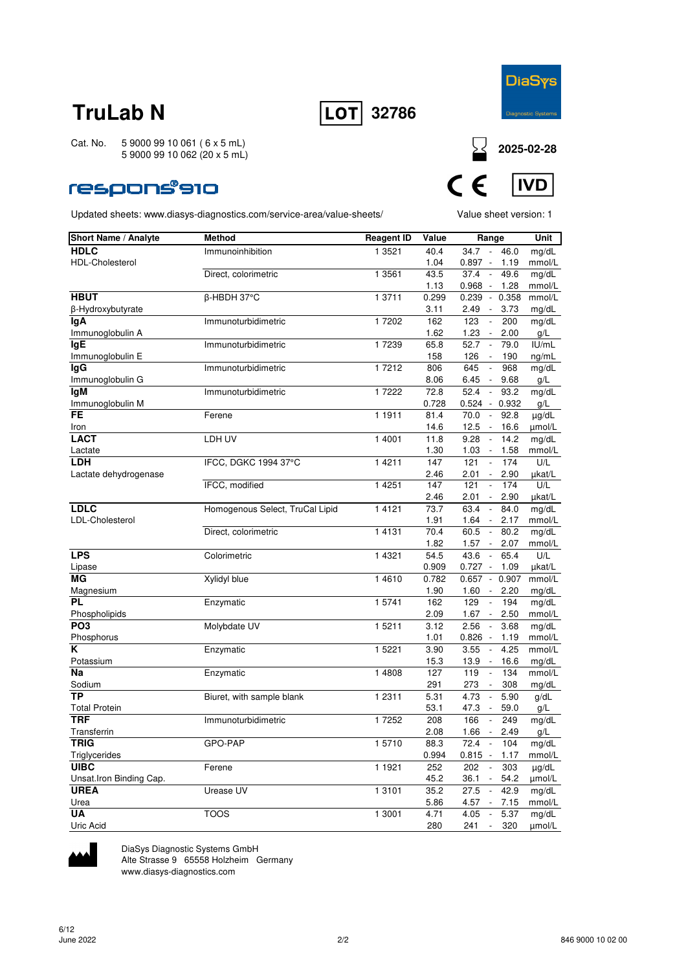



Cat. No. 5 9000 99 10 061 ( 6 x 5 mL) 5 9000 99 10 062 (20 x 5 mL)

### respons®910

Updated sheets: www.diasys-diagnostics.com/service-area/value-sheets/ Value sheet version: 1



| Short Name / Analyte     | <b>Method</b>                   | <b>Reagent ID</b> | Value        | Range                                                   | Unit          |
|--------------------------|---------------------------------|-------------------|--------------|---------------------------------------------------------|---------------|
| <b>HDLC</b>              | Immunoinhibition                | 1 3521            | 40.4         | $34.7 -$<br>46.0                                        | mg/dL         |
| <b>HDL-Cholesterol</b>   |                                 |                   | 1.04         | $0.897 -$<br>1.19                                       | mmol/L        |
|                          | Direct, colorimetric            | 1 3561            | 43.5         | 49.6<br>37.4<br>$\Box$                                  | mg/dL         |
|                          |                                 |                   | 1.13         | $0.968 -$<br>1.28                                       | mmol/L        |
| <b>HBUT</b>              | β-HBDH 37°C                     | 1 3711            | 0.299        | $0.239 - 0.358$                                         | mmol/L        |
| β-Hydroxybutyrate        |                                 |                   | 3.11         | 2.49<br>3.73<br>$\sim$                                  | mg/dL         |
| lgA                      | Immunoturbidimetric             | 17202             | 162          | 123<br>$\mathbb{L}$<br>200                              | mg/dL         |
| Immunoglobulin A         |                                 |                   | 1.62         | 1.23<br>2.00<br>$\overline{\phantom{a}}$                | g/L           |
| <b>IgE</b>               | Immunoturbidimetric             | 17239             | 65.8         | $\overline{\phantom{a}}$<br>52.7<br>79.0                | IUI/mL        |
| Immunoglobulin E         |                                 |                   | 158          | 126<br>190                                              | ng/mL         |
| lgG                      | Immunoturbidimetric             | 1 7212            | 806          | 645<br>968<br>$\overline{\phantom{a}}$                  | mg/dL         |
| Immunoglobulin G         |                                 |                   | 8.06         | 6.45<br>9.68                                            | g/L           |
| lgM                      | Immunoturbidimetric             | 1 7222            | 72.8         | 52.4<br>93.2<br>$\overline{\phantom{a}}$                | mg/dL         |
| Immunoglobulin M         |                                 |                   | 0.728        | 0.524<br>0.932<br>$\sim$                                | g/L           |
| <b>FE</b>                | Ferene                          | 1 1911            | 81.4         | 70.0<br>92.8<br>$\overline{\phantom{a}}$                | µg/dL         |
| Iron                     |                                 |                   | 14.6         | 12.5<br>$\overline{\phantom{a}}$<br>16.6                | umol/L        |
| <b>LACT</b>              | LDH UV                          | 1 4001            | 11.8         | 9.28<br>14.2<br>$\overline{\phantom{a}}$                | mg/dL         |
| Lactate                  |                                 |                   | 1.30         | 1.03<br>1.58<br>$\sim$                                  | mmol/L        |
| <b>LDH</b>               | IFCC, DGKC 1994 37°C            | 14211             | 147          | 174<br>121<br>$\overline{\phantom{a}}$                  | U/L           |
| Lactate dehydrogenase    |                                 |                   | 2.46         | 2.01<br>2.90<br>$\overline{\phantom{a}}$                | µkat/L        |
|                          | IFCC, modified                  | 1 4 2 5 1         | 147          | 121<br>174<br>$\overline{\phantom{a}}$                  | U/L           |
|                          |                                 |                   | 2.46         | 2.01<br>$\sim$<br>2.90                                  | µkat/L        |
| <b>LDLC</b>              | Homogenous Select, TruCal Lipid | 1 4 1 2 1         | 73.7         | 63.4<br>84.0<br>$\mathcal{L}_{\mathcal{A}}$             | mg/dL         |
| LDL-Cholesterol          |                                 |                   | 1.91         | $1.64 -$<br>2.17                                        | mmol/L        |
|                          | Direct, colorimetric            | 1 4 1 3 1         | 70.4         | 60.5<br>80.2<br>$\mathcal{A}$                           | mg/dL         |
| <b>LPS</b>               | Colorimetric                    | 1 4 3 2 1         | 1.82<br>54.5 | 1.57<br>$\sim$<br>2.07<br>43.6<br>$\mathcal{L}$<br>65.4 | mmol/L<br>U/L |
| Lipase                   |                                 |                   | 0.909        | $0.727 -$<br>1.09                                       | µkat/L        |
| <b>MG</b>                | Xylidyl blue                    | 1 4 6 1 0         | 0.782        | $0.657 - 0.907$                                         | mmol/L        |
| Magnesium                |                                 |                   | 1.90         | 1.60<br>2.20<br>$\overline{\phantom{a}}$                | mg/dL         |
| <b>PL</b>                | Enzymatic                       | 1 5741            | 162          | $\Box$<br>129<br>194                                    | mg/dL         |
| Phospholipids            |                                 |                   | 2.09         | 1.67<br>2.50                                            | mmol/L        |
| PO <sub>3</sub>          | Molybdate UV                    | 1 5 2 1 1         | 3.12         | 2.56<br>$\Box$<br>3.68                                  | mg/dL         |
| Phosphorus               |                                 |                   | 1.01         | 0.826<br>1.19<br>$\sim$                                 | mmol/L        |
| K                        | Enzymatic                       | 1 5 2 2 1         | 3.90         | 4.25<br>3.55<br>$\Box$                                  | mmol/L        |
| Potassium                |                                 |                   | 15.3         | 13.9<br>16.6<br>$\overline{\phantom{a}}$                | mg/dL         |
| Na                       | Enzymatic                       | 1 4808            | 127          | 119<br>134<br>$\overline{\phantom{a}}$                  | mmol/L        |
| Sodium                   |                                 |                   | 291          | 273<br>308<br>$\overline{\phantom{a}}$                  | mg/dL         |
| <b>TP</b>                | Biuret, with sample blank       | 1 2 3 1 1         | 5.31         | 4.73<br>$\mathcal{L}_{\mathcal{A}}$<br>5.90             | g/dL          |
| <b>Total Protein</b>     |                                 |                   | 53.1         | 47.3<br>59.0<br>$\overline{\phantom{a}}$                | g/L           |
| <b>TRF</b>               | Immunoturbidimetric             | 17252             | 208          | 166<br>249<br>$\overline{\phantom{a}}$                  | mg/dL         |
| Transferrin              |                                 |                   | 2.08         | 1.66<br>2.49<br>$\sim$                                  | g/L           |
| <b>TRIG</b>              | GPO-PAP                         | 15710             | 88.3         | 72.4<br>104<br>$\overline{\phantom{a}}$                 | mg/dL         |
| Triglycerides            |                                 |                   | 0.994        | $0.815 -$<br>1.17                                       | mmol/L        |
| <b>UIBC</b>              | Ferene                          | 1 1921            | 252          | 202<br>303<br>$\overline{\phantom{a}}$                  | $\mu$ g/dL    |
| Unsat. Iron Binding Cap. |                                 |                   | 45.2         | 36.1<br>54.2<br>$\sim$                                  | $\mu$ mol/L   |
| <b>UREA</b>              | Urease UV                       | 1 3 1 0 1         | 35.2         | 42.9<br>27.5<br>$\blacksquare$                          | mg/dL         |
| Urea                     |                                 |                   | 5.86         | $4.57 -$<br>7.15                                        | mmol/L        |
| UA                       | <b>TOOS</b>                     | 1 3001            | 4.71         | 4.05<br>5.37<br>$\mathcal{L}_{\mathcal{A}}$             | mg/dL         |
| Uric Acid                |                                 |                   | 280          | 241<br>320<br>$\overline{\phantom{a}}$                  | µmol/L        |



DiaSys Diagnostic Systems GmbH

Alte Strasse 9 65558 Holzheim Germany

www.diasys-diagnostics.com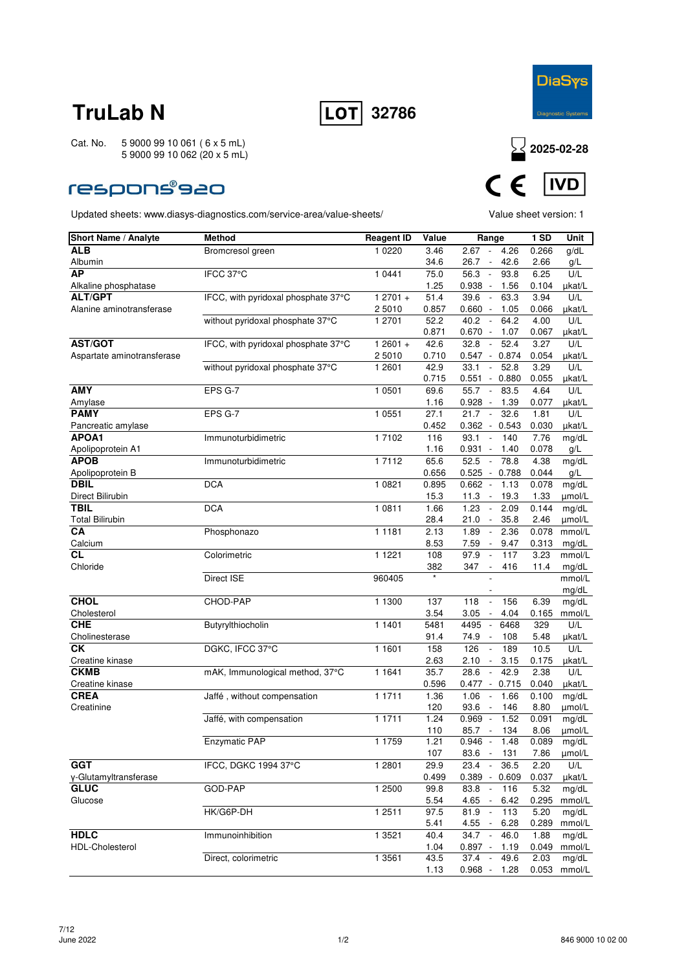



### **respons®s20**



| <b>Short Name / Analyte</b> | <b>Method</b>                       | <b>Reagent ID</b>   | Value | Range                                                               | <b>1 SD</b> | <b>Unit</b>     |
|-----------------------------|-------------------------------------|---------------------|-------|---------------------------------------------------------------------|-------------|-----------------|
| <b>ALB</b>                  | Bromcresol green                    | 1 0 2 2 0           | 3.46  | 2.67<br>4.26<br>$\sim$                                              | 0.266       | g/dL            |
| Albumin                     |                                     |                     | 34.6  | 26.7<br>42.6<br>$\overline{\phantom{a}}$                            | 2.66        | g/L             |
| <b>AP</b>                   | IFCC 37°C                           | 1 0 4 4 1           | 75.0  | 56.3<br>93.8<br>$\Box$                                              | 6.25        | U/L             |
| Alkaline phosphatase        |                                     |                     | 1.25  | $0.938 -$<br>1.56                                                   | 0.104       | µkat/L          |
| <b>ALT/GPT</b>              | IFCC, with pyridoxal phosphate 37°C | $12701 +$           | 51.4  | 39.6<br>63.3<br>$\overline{\phantom{a}}$                            | 3.94        | U/L             |
| Alanine aminotransferase    |                                     | 2 5010              | 0.857 | $0.660 -$<br>1.05                                                   | 0.066       | µkat/L          |
|                             | without pyridoxal phosphate 37°C    | 1 2701              | 52.2  | 40.2<br>64.2                                                        | 4.00        | U/L             |
|                             |                                     |                     | 0.871 | $0.670 -$<br>1.07                                                   | 0.067       | µkat/L          |
| <b>AST/GOT</b>              | IFCC, with pyridoxal phosphate 37°C | $12601 +$           | 42.6  | 52.4<br>32.8<br>$\sim$                                              | 3.27        | U/L             |
| Aspartate aminotransferase  |                                     | 2 5010              | 0.710 | $0.547 - 0.874$                                                     | 0.054       | µkat/L          |
|                             | without pyridoxal phosphate 37°C    | 1 2601              | 42.9  | 52.8<br>33.1<br>$\overline{\phantom{a}}$                            | 3.29        | U/L             |
|                             |                                     |                     | 0.715 | 0.551<br>$-0.880$                                                   | 0.055       | µkat/L          |
| <b>AMY</b>                  | EPS G-7                             | 1 0501              | 69.6  | 55.7<br>83.5<br>$\overline{\phantom{a}}$                            | 4.64        | U/L             |
| Amylase                     |                                     |                     | 1.16  | 0.928<br>1.39<br>$\overline{\phantom{a}}$                           | 0.077       | µkat/L          |
| <b>PAMY</b>                 | EPS G-7                             | 1 0 5 5 1           | 27.1  | 21.7<br>32.6<br>$\sim$                                              | 1.81        | U/L             |
| Pancreatic amylase          |                                     |                     | 0.452 | $0.362 - 0.543$                                                     | 0.030       | µkat/L          |
| <b>APOA1</b>                | Immunoturbidimetric                 | 17102               | 116   | 93.1<br>140<br>$\overline{\phantom{a}}$                             | 7.76        | mg/dL           |
| Apolipoprotein A1           |                                     |                     | 1.16  | 0.931<br>1.40<br>$\overline{\phantom{a}}$                           | 0.078       | g/L             |
| <b>APOB</b>                 | Immunoturbidimetric                 | 1 7 1 1 2           | 65.6  | 52.5<br>78.8<br>$\overline{\phantom{a}}$                            | 4.38        | mg/dL           |
| Apolipoprotein B            |                                     |                     | 0.656 | $0.525 - 0.788$                                                     | 0.044       | g/L             |
| <b>DBIL</b>                 | <b>DCA</b>                          | 1 0 8 2 1           | 0.895 | $0.662 -$<br>1.13                                                   | 0.078       | mg/dL           |
| Direct Bilirubin            |                                     |                     | 15.3  | 19.3<br>11.3<br>$\overline{\phantom{a}}$                            | 1.33        | µmol/L          |
| <b>TBIL</b>                 | <b>DCA</b>                          | 1 0811              | 1.66  | 1.23<br>2.09<br>$\overline{\phantom{a}}$                            | 0.144       | mg/dL           |
| <b>Total Bilirubin</b>      |                                     |                     | 28.4  | 35.8<br>21.0<br>$\overline{\phantom{a}}$                            | 2.46        | umol/L          |
| CA                          | Phosphonazo                         | $\overline{1}$ 1181 | 2.13  | 1.89<br>2.36<br>$\overline{\phantom{a}}$                            | 0.078       | mmol/L          |
| Calcium                     |                                     |                     | 8.53  | 7.59<br>9.47<br>$\overline{\phantom{a}}$                            | 0.313       | mg/dL           |
| СL                          | Colorimetric                        | 1 1 2 2 1           | 108   | 97.9<br>117<br>$\overline{\phantom{a}}$<br>$\overline{\phantom{a}}$ | 3.23        | mmol/L          |
| Chloride                    |                                     |                     | 382   | 347<br>416                                                          | 11.4        | mg/dL           |
|                             | Direct ISE                          | 960405              |       |                                                                     |             | mmol/L<br>mg/dL |
| <b>CHOL</b>                 | CHOD-PAP                            | 1 1300              | 137   | 118<br>156<br>$\overline{\phantom{a}}$                              | 6.39        | mg/dL           |
| Cholesterol                 |                                     |                     | 3.54  | 3.05<br>$\overline{\phantom{a}}$<br>4.04                            | 0.165       | mmol/L          |
| <b>CHE</b>                  | Butyrylthiocholin                   | 1 1401              | 5481  | 4495<br>6468<br>$\overline{\phantom{a}}$                            | 329         | U/L             |
| Cholinesterase              |                                     |                     | 91.4  | 74.9<br>108<br>$\overline{\phantom{a}}$                             | 5.48        | µkat/L          |
| СK                          | DGKC, IFCC 37°C                     | 1 1 6 0 1           | 158   | 126<br>$\mathbb{L}$<br>189                                          | 10.5        | U/L             |
| Creatine kinase             |                                     |                     | 2.63  | 2.10<br>3.15<br>$\sim$                                              | 0.175       | µkat/L          |
| <b>CKMB</b>                 | mAK, Immunological method, 37°C     | 1 1 6 4 1           | 35.7  | 28.6<br>42.9<br>$\overline{\phantom{a}}$                            | 2.38        | U/L             |
| Creatine kinase             |                                     |                     | 0.596 | $0.477 - 0.715$                                                     | 0.040       | µkat/L          |
| <b>CREA</b>                 | Jaffé, without compensation         | 1 1711              | 1.36  | 1.06<br>1.66<br>$\overline{\phantom{a}}$                            | 0.100       | mg/dL           |
| Creatinine                  |                                     |                     | 120   | 93.6<br>146<br>$\overline{\phantom{a}}$                             | 8.80        | µmol/L          |
|                             | Jaffé, with compensation            | 1 1711              | 1.24  | 1.52<br>0.969<br>$\overline{\phantom{a}}$                           | 0.091       | mg/dL           |
|                             |                                     |                     | 110   | 85.7<br>134<br>$\sim$                                               | 8.06        | µmol/L          |
|                             | Enzymatic PAP                       | 1 1759              | 1.21  | $0.946 -$<br>1.48                                                   | 0.089       | mg/dL           |
|                             |                                     |                     | 107   | 83.6<br>131<br>$\sim$                                               | 7.86        | umol/L          |
| <b>GGT</b>                  | IFCC, DGKC 1994 37°C                | 1 2801              | 29.9  | $\sim$<br>36.5<br>23.4                                              | 2.20        | U/L             |
| y-Glutamyltransferase       |                                     |                     | 0.499 | $0.389 - 0.609$                                                     | 0.037       | µkat/L          |
| <b>GLUC</b>                 | GOD-PAP                             | 1 2500              | 99.8  | 83.8<br>116<br>$\overline{\phantom{a}}$                             | 5.32        | mg/dL           |
| Glucose                     |                                     |                     | 5.54  | 4.65<br>$\sim$<br>6.42                                              | 0.295       | mmol/L          |
|                             | HK/G6P-DH                           | 1 2511              | 97.5  | 81.9<br>113<br>$\overline{\phantom{a}}$                             | 5.20        | mg/dL           |
|                             |                                     |                     | 5.41  | 6.28<br>4.55                                                        | 0.289       | mmol/L          |
| <b>HDLC</b>                 | Immunoinhibition                    | 1 3521              | 40.4  | $34.7 -$<br>46.0                                                    | 1.88        | mg/dL           |
| <b>HDL-Cholesterol</b>      |                                     |                     | 1.04  | $0.897 -$<br>1.19                                                   | 0.049       | mmol/L          |
|                             | Direct, colorimetric                | 1 3561              | 43.5  | $37.4 -$<br>49.6                                                    | 2.03        | mg/dL           |
|                             |                                     |                     | 1.13  | 0.968 -<br>1.28                                                     | 0.053       | mmol/L          |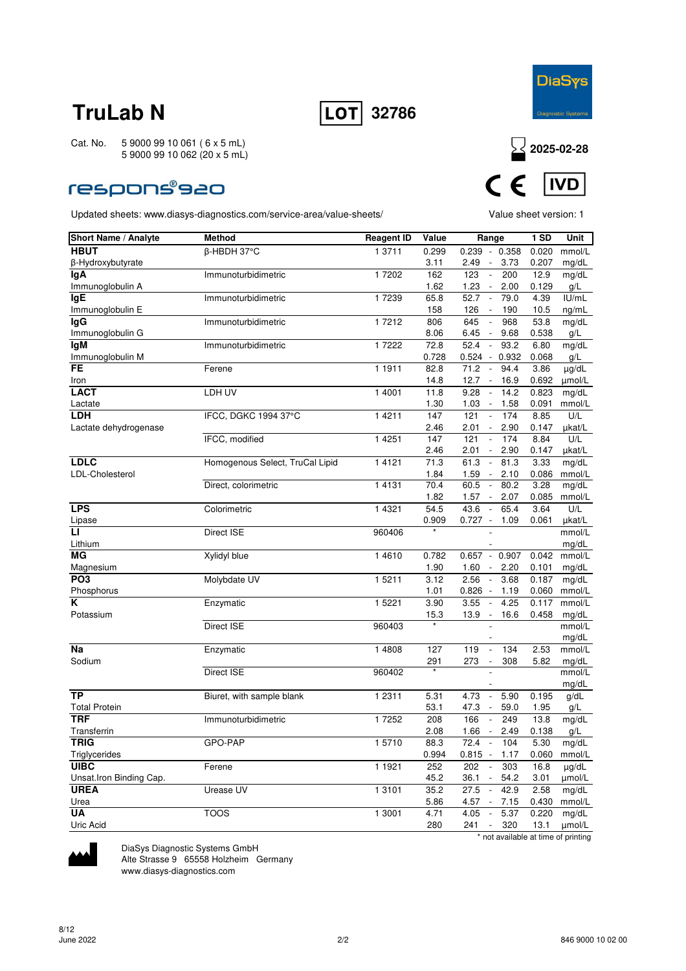



### **respons®s20**

Updated sheets: www.diasys-diagnostics.com/service-area/value-sheets/ Value sheet version: 1



| Short Name / Analyte    | Method                          | <b>Reagent ID</b> | Value        | Range                                                                | 1 SD           | Unit            |
|-------------------------|---------------------------------|-------------------|--------------|----------------------------------------------------------------------|----------------|-----------------|
| <b>HBUT</b>             | β-HBDH 37°C                     | 1 3711            | 0.299        | $0.239 - 0.358$                                                      | 0.020          | mmol/L          |
| β-Hydroxybutyrate       |                                 |                   | 3.11         | 3.73<br>2.49<br>$\overline{\phantom{a}}$                             | 0.207          | mg/dL           |
| lgA                     | Immunoturbidimetric             | 17202             | 162          | 123<br>$\overline{\phantom{a}}$<br>200                               | 12.9           | mg/dL           |
| Immunoglobulin A        |                                 |                   | 1.62         | 1.23<br>2.00<br>$\sim$                                               | 0.129          | g/L             |
| <b>IgE</b>              | Immunoturbidimetric             | 1 7239            | 65.8         | 52.7<br>79.0<br>$\overline{\phantom{a}}$                             | 4.39           | IU/mL           |
| Immunoglobulin E        |                                 |                   | 158          | 126<br>190<br>$\overline{\phantom{a}}$                               | 10.5           | ng/mL           |
| <b>IgG</b>              | Immunoturbidimetric             | 17212             | 806          | 645<br>968<br>$\overline{\phantom{a}}$                               | 53.8           | mg/dL           |
| Immunoglobulin G        |                                 |                   | 8.06         | 6.45<br>$\sim$<br>9.68                                               | 0.538          | g/L             |
| lgM                     | Immunoturbidimetric             | 1 7222            | 72.8         | 52.4<br>93.2<br>$\sim$                                               | 6.80           | mg/dL           |
| Immunoglobulin M        |                                 |                   | 0.728        | $0.524 - 0.932$                                                      | 0.068          | g/L             |
| <b>FE</b>               | Ferene                          | 1 1911            | 82.8         | 71.2<br>94.4<br>$\overline{\phantom{a}}$                             | 3.86           | µg/dL           |
| Iron<br><b>LACT</b>     | LDH UV                          | 1 4001            | 14.8<br>11.8 | 12.7<br>16.9<br>$\overline{\phantom{a}}$<br>9.28<br>14.2             | 0.692<br>0.823 | µmol/L          |
|                         |                                 |                   | 1.30         | $\overline{\phantom{a}}$<br>1.03<br>1.58<br>$\overline{\phantom{a}}$ | 0.091          | mg/dL<br>mmol/L |
| Lactate<br><b>LDH</b>   | IFCC, DGKC 1994 37°C            | 1 4 2 1 1         | 147          | 121<br>174<br>$\overline{\phantom{a}}$                               | 8.85           | U/L             |
| Lactate dehydrogenase   |                                 |                   | 2.46         | 2.01<br>2.90                                                         | 0.147          | µkat/L          |
|                         | IFCC, modified                  | 1 4 2 5 1         | 147          | 121<br>$\overline{\phantom{a}}$<br>174                               | 8.84           | U/L             |
|                         |                                 |                   | 2.46         | 2.01<br>2.90<br>$\overline{\phantom{a}}$                             | 0.147          | µkat/L          |
| <b>LDLC</b>             | Homogenous Select, TruCal Lipid | 1 4 1 2 1         | 71.3         | 61.3<br>81.3<br>$\overline{\phantom{a}}$                             | 3.33           | mg/dL           |
| LDL-Cholesterol         |                                 |                   | 1.84         | 1.59<br>2.10<br>$\overline{\phantom{a}}$                             | 0.086          | mmol/L          |
|                         | Direct, colorimetric            | 14131             | 70.4         | 60.5<br>80.2<br>$\overline{\phantom{a}}$                             | 3.28           | mg/dL           |
|                         |                                 |                   | 1.82         | 1.57<br>2.07<br>$\blacksquare$                                       | 0.085          | mmol/L          |
| <b>LPS</b>              | Colorimetric                    | 1 4 3 2 1         | 54.5         | 43.6<br>65.4<br>$\sim$                                               | 3.64           | U/L             |
| Lipase                  |                                 |                   | 0.909        | $0.727 -$<br>1.09                                                    | 0.061          | µkat/L          |
| LI.                     | Direct ISE                      | 960406            |              |                                                                      |                | mmol/L          |
| Lithium                 |                                 |                   |              |                                                                      |                | mg/dL           |
| <b>MG</b>               | Xylidyl blue                    | 1 4 6 1 0         | 0.782        | 0.907<br>$0.657 -$                                                   | 0.042          | mmol/L          |
| Magnesium               |                                 |                   | 1.90         | 1.60<br>2.20<br>$\overline{\phantom{a}}$                             | 0.101          | mg/dL           |
| PO <sub>3</sub>         | Molybdate UV                    | 15211             | 3.12         | 2.56<br>3.68<br>$\overline{\phantom{a}}$                             | 0.187          | mg/dL           |
| Phosphorus              |                                 |                   | 1.01         | $0.826 -$<br>1.19                                                    | 0.060          | mmol/L          |
| K                       | Enzymatic                       | 1 5221            | 3.90         | 3.55<br>4.25<br>$\overline{\phantom{a}}$                             | 0.117          | mmol/L          |
| Potassium               |                                 |                   | 15.3         | 13.9<br>16.6<br>$\overline{\phantom{a}}$                             | 0.458          | mg/dL           |
|                         | Direct ISE                      | 960403            |              |                                                                      |                | mmol/L          |
| <b>Na</b>               | Enzymatic                       | 1 4808            | 127          | 134<br>119<br>$\overline{\phantom{a}}$                               | 2.53           | mg/dL<br>mmol/L |
| Sodium                  |                                 |                   | 291          | 273<br>308<br>$\overline{\phantom{a}}$                               | 5.82           | mg/dL           |
|                         | <b>Direct ISE</b>               | 960402            |              |                                                                      |                | mmol/L          |
|                         |                                 |                   |              |                                                                      |                | mg/dL           |
| <b>TP</b>               | Biuret, with sample blank       | 1 2 3 1 1         | 5.31         | 5.90<br>4.73<br>$\sim$                                               | 0.195          | g/dL            |
| <b>Total Protein</b>    |                                 |                   | 53.1         | 59.0<br>47.3<br>$\overline{\phantom{a}}$                             | 1.95           | g/L             |
| <b>TRF</b>              | Immunoturbidimetric             | 17252             | 208          | 166<br>249<br>$\overline{\phantom{a}}$                               | 13.8           | mg/dL           |
| Transferrin             |                                 |                   | 2.08         | 1.66<br>2.49<br>$\sim$                                               | 0.138          | g/L             |
| <b>TRIG</b>             | GPO-PAP                         | 15710             | 88.3         | 72.4<br>104                                                          | 5.30           | mg/dL           |
| Triglycerides           |                                 |                   | 0.994        | $0.815 - 1.17$                                                       | 0.060          | mmol/L          |
| <b>UIBC</b>             | Ferene                          | 1 1921            | 252          | 202<br>$\sim$<br>303                                                 | 16.8           | µg/dL           |
| Unsat.Iron Binding Cap. |                                 |                   | 45.2         | 36.1<br>$\mathcal{L}_{\mathcal{A}}$<br>54.2                          | 3.01           | µmol/L          |
| <b>UREA</b>             | Urease UV                       | 1 3 1 0 1         | 35.2         | 27.5<br>$\sim$<br>42.9                                               | 2.58           | mg/dL           |
| Urea                    |                                 |                   | 5.86         | 4.57 -<br>7.15                                                       | 0.430          | mmol/L          |
| <b>UA</b>               | <b>TOOS</b>                     | 1 3001            | 4.71         | 4.05<br>$\sim$<br>5.37                                               | 0.220          | mg/dL           |
| Uric Acid               |                                 |                   | 280          | 241<br>320<br>$\sim$                                                 | 13.1           | µmol/L          |
|                         |                                 |                   |              | * not available at time of printing                                  |                |                 |



DiaSys Diagnostic Systems GmbH Alte Strasse 9 65558 Holzheim Germany

www.diasys-diagnostics.com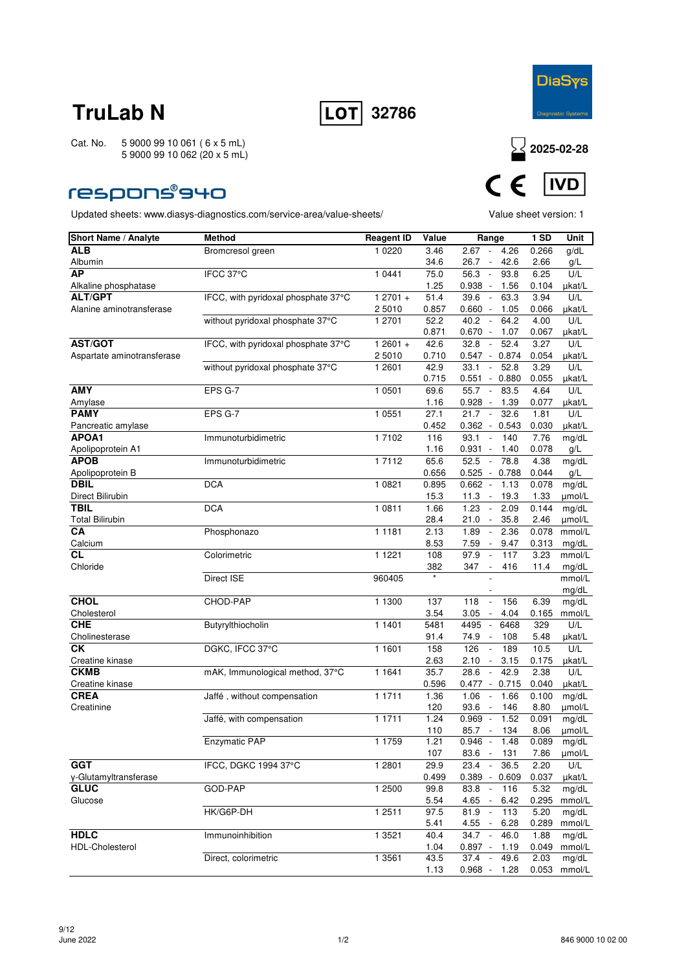



### **respons®940**



| <b>Short Name / Analyte</b> | <b>Method</b>                       | <b>Reagent ID</b> | Value         | Range                                                            | <b>1 SD</b>   | Unit              |
|-----------------------------|-------------------------------------|-------------------|---------------|------------------------------------------------------------------|---------------|-------------------|
| <b>ALB</b>                  | Bromcresol green                    | 1 0 2 2 0         | 3.46          | 2.67<br>4.26<br>$\overline{\phantom{a}}$                         | 0.266         | g/dL              |
| Albumin                     |                                     |                   | 34.6          | 42.6<br>26.7<br>$\overline{\phantom{a}}$                         | 2.66          | g/L               |
| <b>AP</b>                   | IFCC 37°C                           | 1 0441            | 75.0          | 56.3<br>$\mathcal{L}$<br>93.8                                    | 6.25          | U/L               |
| Alkaline phosphatase        |                                     |                   | 1.25          | $0.938 -$<br>1.56                                                | 0.104         | µkat/L            |
| <b>ALT/GPT</b>              | IFCC, with pyridoxal phosphate 37°C | $12701 +$         | 51.4          | 39.6<br>63.3<br>$\overline{\phantom{a}}$                         | 3.94          | U/L               |
| Alanine aminotransferase    |                                     | 25010             | 0.857         | 0.660<br>$\overline{\phantom{a}}$<br>1.05                        | 0.066         | µkat/L            |
|                             | without pyridoxal phosphate 37°C    | 1 2701            | 52.2          | 40.2<br>64.2<br>$\overline{\phantom{a}}$                         | 4.00          | U/L               |
| <b>AST/GOT</b>              | IFCC, with pyridoxal phosphate 37°C | $12601 +$         | 0.871<br>42.6 | $0.670 -$<br>1.07<br>32.8<br>52.4<br>$\mathcal{L}_{\mathcal{A}}$ | 0.067<br>3.27 | µkat/L<br>U/L     |
| Aspartate aminotransferase  |                                     | 2 5010            | 0.710         | $0.547 - 0.874$                                                  | 0.054         | µkat/L            |
|                             | without pyridoxal phosphate 37°C    | 1 2601            | 42.9          | 52.8<br>33.1<br>$\overline{\phantom{a}}$                         | 3.29          | U/L               |
|                             |                                     |                   | 0.715         | 0.551<br>$-0.880$                                                | 0.055         | µkat/L            |
| AMY                         | EPS G-7                             | 1 0 5 0 1         | 69.6          | 55.7<br>83.5<br>$\overline{\phantom{a}}$                         | 4.64          | U/L               |
| Amylase                     |                                     |                   | 1.16          | 0.928<br>1.39<br>$\overline{\phantom{a}}$                        | 0.077         | µkat/L            |
| <b>PAMY</b>                 | EPS G-7                             | 1 0551            | 27.1          | 32.6<br>21.7<br>$\overline{\phantom{a}}$                         | 1.81          | U/L               |
| Pancreatic amylase          |                                     |                   | 0.452         | $0.362 - 0.543$                                                  | 0.030         | µkat/L            |
| APOA1                       | Immunoturbidimetric                 | 1 7102            | 116           | 93.1<br>140<br>$\overline{\phantom{a}}$                          | 7.76          | mg/dL             |
| Apolipoprotein A1           |                                     |                   | 1.16          | 0.931<br>1.40<br>$\overline{\phantom{a}}$                        | 0.078         | g/L               |
| <b>APOB</b>                 | Immunoturbidimetric                 | 1 7112            | 65.6          | 52.5<br>78.8<br>$\sim$                                           | 4.38          | mg/dL             |
| Apolipoprotein B            |                                     |                   | 0.656         | $0.525 - 0.788$                                                  | 0.044         | g/L               |
| <b>DBIL</b>                 | <b>DCA</b>                          | 1 0 8 2 1         | 0.895         | $0.662 -$<br>1.13                                                | 0.078         | mg/dL             |
| Direct Bilirubin            |                                     |                   | 15.3          | 11.3<br>19.3<br>$\overline{\phantom{a}}$                         | 1.33          | µmol/L            |
| <b>TBIL</b>                 | <b>DCA</b>                          | 1 0811            | 1.66          | 1.23<br>2.09<br>$\Box$                                           | 0.144         | mg/dL             |
| <b>Total Bilirubin</b>      |                                     |                   | 28.4          | 35.8<br>21.0<br>$\overline{\phantom{a}}$                         | 2.46          | umol/L            |
| CA                          | Phosphonazo                         | 1 1 1 8 1         | 2.13          | 1.89<br>2.36<br>$\overline{\phantom{a}}$                         | 0.078         | mmol/L            |
| Calcium                     |                                     |                   | 8.53          | 7.59<br>9.47<br>$\sim$                                           | 0.313         | mg/dL             |
| <b>CL</b>                   | Colorimetric                        | 1 1 2 2 1         | 108           | 97.9<br>117                                                      | 3.23          | mmol/L            |
| Chloride                    | Direct ISE                          | 960405            | 382           | 347<br>$\overline{\phantom{a}}$<br>416                           | 11.4          | $mg/dL$<br>mmol/L |
|                             |                                     |                   |               |                                                                  |               | mg/dL             |
| <b>CHOL</b>                 | CHOD-PAP                            | 1 1300            | 137           | 118<br>156<br>$\overline{\phantom{a}}$                           | 6.39          | mg/dL             |
| Cholesterol                 |                                     |                   | 3.54          | 3.05<br>4.04<br>$\overline{\phantom{a}}$                         | 0.165         | mmol/L            |
| <b>CHE</b>                  | Butyrylthiocholin                   | 1 1401            | 5481          | 4495<br>6468<br>$\overline{\phantom{a}}$                         | 329           | U/L               |
| Cholinesterase              |                                     |                   | 91.4          | 74.9<br>108<br>$\overline{\phantom{a}}$                          | 5.48          | µkat/L            |
| <b>CK</b>                   | DGKC, IFCC 37°C                     | 1 1 6 0 1         | 158           | 126<br>189<br>$\mathbb{Z}$                                       | 10.5          | U/L               |
| Creatine kinase             |                                     |                   | 2.63          | 2.10<br>3.15<br>$\sim$                                           | 0.175         | µkat/L            |
| <b>CKMB</b>                 | mAK, Immunological method, 37°C     | 1 1 6 4 1         | 35.7          | 28.6<br>42.9<br>$\overline{\phantom{a}}$                         | 2.38          | U/L               |
| Creatine kinase             |                                     |                   | 0.596         | 0.477<br>0.715<br>$\sim$                                         | 0.040         | µkat/L            |
| <b>CREA</b>                 | Jaffé, without compensation         | 1 1 7 1 1         | 1.36          | 1.06<br>$\overline{\phantom{a}}$<br>1.66                         | 0.100         | mg/dL             |
| Creatinine                  |                                     |                   | 120           | 93.6<br>146<br>$\overline{\phantom{a}}$                          | 8.80          | µmol/L            |
|                             | Jaffé, with compensation            | 1 1711            | 1.24          | 1.52<br>0.969<br>$\overline{\phantom{a}}$                        | 0.091         | mg/dL             |
|                             |                                     |                   | 110           | 85.7<br>134<br>$\blacksquare$                                    | 8.06          | µmol/L            |
|                             | Enzymatic PAP                       | 1 1759            | 1.21          | $0.946 -$<br>1.48                                                | 0.089         | mg/dL             |
| <b>GGT</b>                  |                                     |                   | 107           | 83.6<br>131<br>$\sim$                                            | 7.86          | µmol/L            |
| y-Glutamyltransferase       | IFCC, DGKC 1994 37°C                | 1 2 8 0 1         | 29.9<br>0.499 | 36.5<br>$23.4 -$<br>$0.389 - 0.609$                              | 2.20<br>0.037 | U/L<br>µkat/L     |
| <b>GLUC</b>                 | GOD-PAP                             | 1 2500            | 99.8          | 83.8<br>116<br>$\overline{\phantom{a}}$                          | 5.32          | mg/dL             |
| Glucose                     |                                     |                   | 5.54          | 4.65<br>$\overline{\phantom{a}}$<br>6.42                         | 0.295         | mmol/L            |
|                             | HK/G6P-DH                           | 1 2511            | 97.5          | 81.9<br>113<br>$\overline{\phantom{a}}$                          | 5.20          | mg/dL             |
|                             |                                     |                   | 5.41          | 4.55<br>6.28                                                     | 0.289         | mmol/L            |
| <b>HDLC</b>                 | Immunoinhibition                    | 1 3 5 2 1         | 40.4          | $\sim$<br>34.7<br>46.0                                           | 1.88          | mg/dL             |
| <b>HDL-Cholesterol</b>      |                                     |                   | 1.04          | 0.897 -<br>1.19                                                  | 0.049         | mmol/L            |
|                             | Direct, colorimetric                | 1 3561            | 43.5          | $37.4 -$<br>49.6                                                 | 2.03          | mg/dL             |
|                             |                                     |                   | 1.13          | $0.968 -$<br>1.28                                                | 0.053         | mmol/L            |
|                             |                                     |                   |               |                                                                  |               |                   |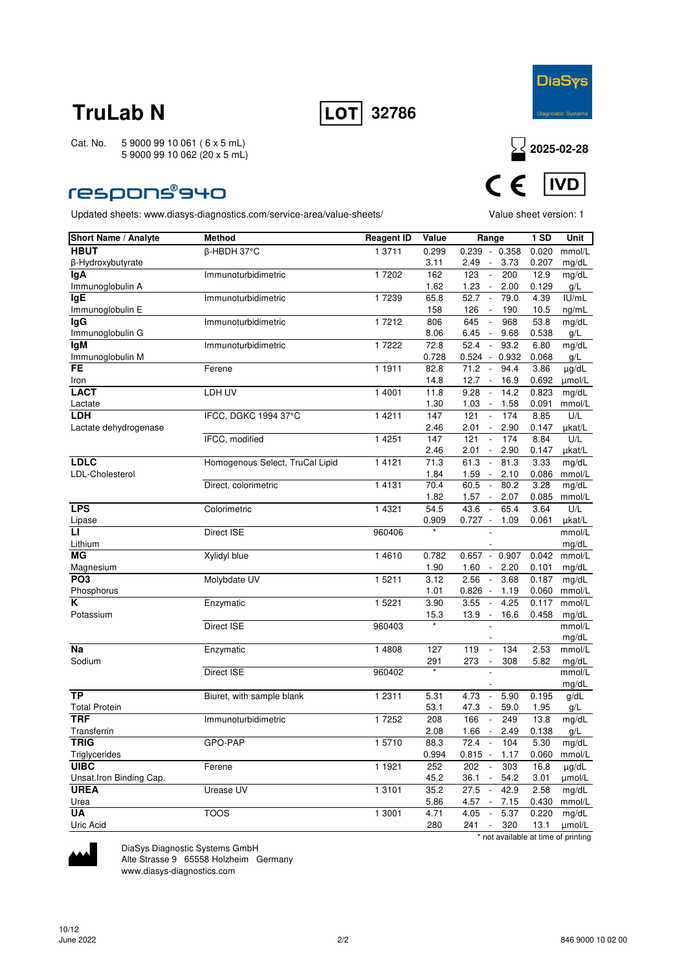



### **respons®940**

Updated sheets: www.diasys-diagnostics.com/service-area/value-sheets/ Value sheet version: 1



| Short Name / Analyte    | <b>Method</b>                   | <b>Reagent ID</b> | Value       | Range                                                                              | <b>1 SD</b>    | Unit            |
|-------------------------|---------------------------------|-------------------|-------------|------------------------------------------------------------------------------------|----------------|-----------------|
| <b>HBUT</b>             | β-HBDH 37°C                     | 1 3711            | 0.299       | $0.239 - 0.358$                                                                    | 0.020          | mmol/L          |
| β-Hydroxybutyrate       |                                 |                   | 3.11        | 3.73<br>2.49<br>$\overline{\phantom{a}}$                                           | 0.207          | mg/dL           |
| lgA                     | Immunoturbidimetric             | 17202             | 162         | 123<br>$\sim$<br>200                                                               | 12.9           | mg/dL           |
| Immunoglobulin A        |                                 |                   | 1.62        | 1.23<br>2.00<br>$\overline{\phantom{a}}$                                           | 0.129          | g/L             |
| <b>IgE</b>              | Immunoturbidimetric             | 1 7239            | 65.8        | 52.7<br>79.0<br>$\overline{\phantom{a}}$                                           | 4.39           | IU/mL           |
| Immunoglobulin E        |                                 |                   | 158         | 126<br>$\Box$<br>190                                                               | 10.5           | ng/mL           |
| lgG                     | Immunoturbidimetric             | 17212             | 806         | 645<br>$\overline{\phantom{a}}$<br>968                                             | 53.8           | mg/dL           |
| Immunoglobulin G        |                                 |                   | 8.06        | 6.45<br>9.68<br>$\overline{\phantom{a}}$                                           | 0.538          | g/L             |
| <b>IgM</b>              | Immunoturbidimetric             | 17222             | 72.8        | 52.4<br>93.2<br>$\sim$                                                             | 6.80           | mg/dL           |
| Immunoglobulin M        |                                 |                   | 0.728       | $0.524 - 0.932$                                                                    | 0.068          | g/L             |
| FE                      | Ferene                          | 1 1911            | 82.8        | 71.2<br>$\overline{\phantom{a}}$<br>94.4                                           | 3.86           | µg/dL           |
| Iron                    |                                 |                   | 14.8        | 12.7<br>16.9<br>$\sim$                                                             | 0.692<br>0.823 | umol/L          |
| <b>LACT</b>             | LDH UV                          | 1 4001            | 11.8        | 9.28<br>$\overline{\phantom{a}}$<br>14.2                                           |                | mg/dL           |
| Lactate                 |                                 |                   | 1.30        | 1.03<br>1.58<br>$\sim$                                                             | 0.091          | mmol/L          |
| <b>LDH</b>              | IFCC, DGKC 1994 37°C            | 1 4 2 1 1         | 147<br>2.46 | 121<br>174<br>$\overline{\phantom{a}}$<br>2.01<br>2.90<br>$\overline{\phantom{a}}$ | 8.85<br>0.147  | U/L             |
| Lactate dehydrogenase   | IFCC, modified                  | 1 4 2 5 1         | 147         | 121<br>174                                                                         | 8.84           | µkat/L<br>U/L   |
|                         |                                 |                   | 2.46        | 2.01<br>2.90<br>$\overline{\phantom{a}}$                                           | 0.147          | µkat/L          |
| <b>LDLC</b>             | Homogenous Select, TruCal Lipid | 1 4 1 2 1         | 71.3        | 61.3<br>81.3<br>$\overline{\phantom{a}}$                                           | 3.33           | mg/dL           |
| LDL-Cholesterol         |                                 |                   | 1.84        | 2.10<br>1.59<br>$\overline{\phantom{a}}$                                           | 0.086          | mmol/L          |
|                         | Direct, colorimetric            | 14131             | 70.4        | 60.5<br>80.2<br>$\overline{\phantom{a}}$                                           | 3.28           | mg/dL           |
|                         |                                 |                   | 1.82        | 1.57<br>2.07<br>$\overline{\phantom{a}}$                                           | 0.085          | mmol/L          |
| <b>LPS</b>              | Colorimetric                    | 1 4 3 2 1         | 54.5        | 43.6<br>$\sim$<br>65.4                                                             | 3.64           | U/L             |
| Lipase                  |                                 |                   | 0.909       | $0.727 -$<br>1.09                                                                  | 0.061          | µkat/L          |
| п                       | Direct ISE                      | 960406            | $\star$     |                                                                                    |                | mmol/L          |
| Lithium                 |                                 |                   |             |                                                                                    |                | mg/dL           |
| МG                      | Xylidyl blue                    | 1 4 6 1 0         | 0.782       | $0.657 - 0.907$                                                                    | 0.042          | mmol/L          |
| Magnesium               |                                 |                   | 1.90        | 2.20<br>1.60<br>$\overline{\phantom{a}}$                                           | 0.101          | mg/dL           |
| PO <sub>3</sub>         | Molybdate UV                    | 1 5211            | 3.12        | 2.56<br>3.68<br>$\overline{\phantom{a}}$                                           | 0.187          | mg/dL           |
| Phosphorus              |                                 |                   | 1.01        | $0.826 -$<br>1.19                                                                  | 0.060          | mmol/L          |
| Κ                       | Enzymatic                       | 1 5221            | 3.90        | 3.55<br>4.25<br>$\blacksquare$                                                     | 0.117          | mmol/L          |
| Potassium               |                                 |                   | 15.3        | 13.9<br>16.6<br>$\overline{\phantom{a}}$                                           | 0.458          | mg/dL           |
|                         | Direct ISE                      | 960403            |             |                                                                                    |                | mmol/L          |
|                         |                                 |                   |             |                                                                                    |                | mg/dL           |
| Na                      | Enzymatic                       | 1 4808            | 127         | 119<br>134<br>$\overline{\phantom{a}}$                                             | 2.53           | mmol/L          |
| Sodium                  | Direct ISE                      | 960402            | 291         | 273<br>308<br>$\overline{\phantom{a}}$                                             | 5.82           | mg/dL<br>mmol/L |
|                         |                                 |                   |             |                                                                                    |                | mg/dL           |
| <b>TP</b>               | Biuret, with sample blank       | 1 2 3 1 1         | 5.31        | 4.73<br>5.90<br>$\overline{\phantom{a}}$                                           | 0.195          | g/dL            |
| <b>Total Protein</b>    |                                 |                   | 53.1        | 47.3<br>$\overline{\phantom{a}}$<br>59.0                                           | 1.95           | g/L             |
| <b>TRF</b>              | Immunoturbidimetric             | 1 7252            | 208         | 166<br>249<br>$\overline{\phantom{a}}$                                             | 13.8           | mg/dL           |
| Transferrin             |                                 |                   | 2.08        | 1.66<br>2.49<br>$\overline{\phantom{a}}$                                           | 0.138          | g/L             |
| <b>TRIG</b>             | GPO-PAP                         | 15710             | 88.3        | 72.4<br>104                                                                        | 5.30           | mg/dL           |
| Triglycerides           |                                 |                   | 0.994       | $0.815 - 1.17$                                                                     | 0.060          | $mmol/L$        |
| <b>UIBC</b>             | Ferene                          | 1 1921            | 252         | 202<br>$\overline{\phantom{a}}$<br>303                                             | 16.8           | $\mu$ g/dL      |
| Unsat.Iron Binding Cap. |                                 |                   | 45.2        | 36.1<br>$\mathbb{Z}^2$<br>54.2                                                     | 3.01           | µmol/L          |
| <b>UREA</b>             | Urease UV                       | 1 3 1 0 1         | 35.2        | $\overline{27.5}$ -<br>42.9                                                        | 2.58           | mg/dL           |
| Urea                    |                                 |                   | 5.86        | 4.57<br>7.15<br>$\sim$                                                             | 0.430          | mmol/L          |
| <b>UA</b>               | <b>TOOS</b>                     | 1 3001            | 4.71        | 4.05<br>5.37<br>$\mathcal{L}_{\mathcal{A}}$                                        | 0.220          | mg/dL           |
| Uric Acid               |                                 |                   | 280         | 241 -<br>320                                                                       | 13.1           | umol/L          |
|                         |                                 |                   |             | * not available at time of printing                                                |                |                 |



DiaSys Diagnostic Systems GmbH Alte Strasse 9 65558 Holzheim Germany

www.diasys-diagnostics.com

June 2022 2/2 846 9000 10 02 00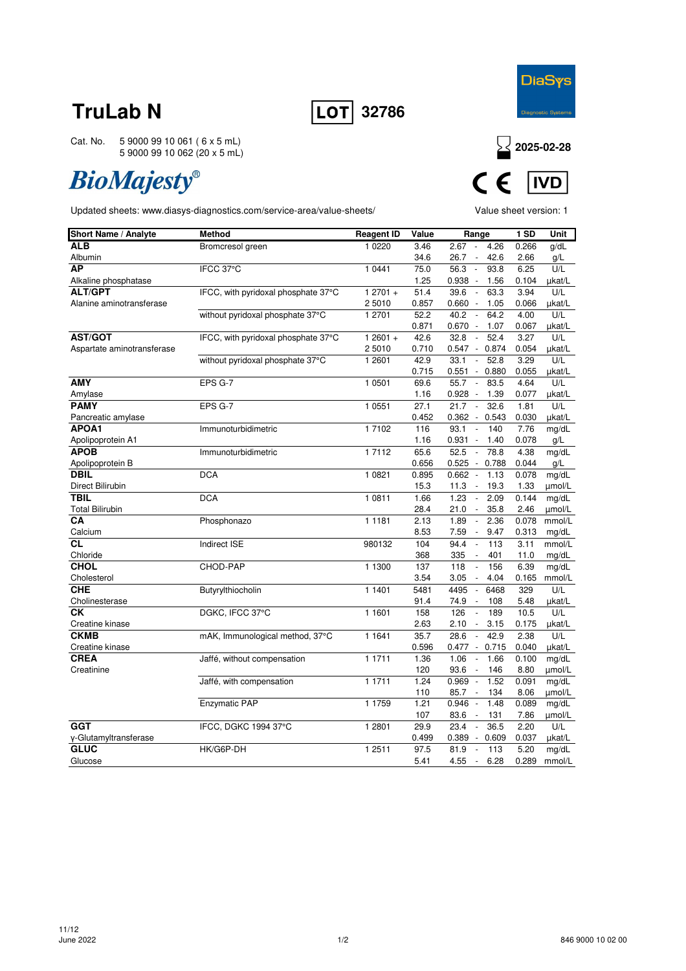

Cat. No. 5 9000 99 10 061 ( 6 x 5 mL) 5 9000 99 10 062 (20 x 5 mL)

# **BioMajesty®**





| <b>Short Name / Analyte</b> | <b>Method</b>                       | <b>Reagent ID</b> | Value | Range                                         | 1 SD  | Unit   |
|-----------------------------|-------------------------------------|-------------------|-------|-----------------------------------------------|-------|--------|
| <b>ALB</b>                  | Bromcresol green                    | 10220             | 3.46  | 2.67<br>4.26<br>$\overline{\phantom{a}}$      | 0.266 | g/dL   |
| Albumin                     |                                     |                   | 34.6  | 42.6<br>26.7<br>$\overline{\phantom{a}}$      | 2.66  | g/L    |
| <b>AP</b>                   | IFCC 37°C                           | 1 0 4 4 1         | 75.0  | 56.3<br>93.8<br>$\Box$                        | 6.25  | U/L    |
| Alkaline phosphatase        |                                     |                   | 1.25  | $0.938 -$<br>1.56                             | 0.104 | µkat/L |
| <b>ALT/GPT</b>              | IFCC, with pyridoxal phosphate 37°C | $12701 +$         | 51.4  | 39.6<br>$\sim$<br>63.3                        | 3.94  | U/L    |
| Alanine aminotransferase    |                                     | 25010             | 0.857 | 0.660<br>1.05<br>$\overline{\phantom{a}}$     | 0.066 | µkat/L |
|                             | without pyridoxal phosphate 37°C    | 1 2701            | 52.2  | 40.2<br>64.2<br>$\blacksquare$                | 4.00  | U/L    |
|                             |                                     |                   | 0.871 | 0.670<br>$\sim$<br>1.07                       | 0.067 | µkat/L |
| <b>AST/GOT</b>              | IFCC, with pyridoxal phosphate 37°C | $12601 +$         | 42.6  | 32.8<br>52.4<br>$\overline{\phantom{a}}$      | 3.27  | U/L    |
| Aspartate aminotransferase  |                                     | 25010             | 0.710 | $0.547 -$<br>0.874                            | 0.054 | µkat/L |
|                             | without pyridoxal phosphate 37°C    | 1 2601            | 42.9  | 33.1<br>52.8<br>$\blacksquare$                | 3.29  | U/L    |
|                             |                                     |                   | 0.715 | 0.551<br>$\mathcal{L}_{\mathcal{A}}$<br>0.880 | 0.055 | µkat/L |
| <b>AMY</b>                  | EPS G-7                             | 1 0 5 0 1         | 69.6  | 55.7<br>83.5<br>$\overline{\phantom{a}}$      | 4.64  | U/L    |
| Amylase                     |                                     |                   | 1.16  | 0.928<br>$\Box$<br>1.39                       | 0.077 | µkat/L |
| <b>PAMY</b>                 | EPS G-7                             | 1 0 5 5 1         | 27.1  | 21.7<br>32.6<br>$\overline{\phantom{a}}$      | 1.81  | U/L    |
| Pancreatic amylase          |                                     |                   | 0.452 | 0.362<br>0.543<br>$\overline{\phantom{a}}$    | 0.030 | µkat/L |
| APOA1                       | Immunoturbidimetric                 | 17102             | 116   | 93.1<br>$\Box$<br>140                         | 7.76  | mg/dL  |
| Apolipoprotein A1           |                                     |                   | 1.16  | 0.931<br>1.40<br>$\overline{\phantom{a}}$     | 0.078 | g/L    |
| <b>APOB</b>                 | Immunoturbidimetric                 | 17112             | 65.6  | 52.5<br>78.8<br>$\overline{\phantom{a}}$      | 4.38  | mg/dL  |
| Apolipoprotein B            |                                     |                   | 0.656 | $0.525 -$<br>0.788                            | 0.044 | g/L    |
| <b>DBIL</b>                 | <b>DCA</b>                          | 1 0 8 2 1         | 0.895 | 0.662<br>1.13<br>$\blacksquare$               | 0.078 | mg/dL  |
| Direct Bilirubin            |                                     |                   | 15.3  | 11.3<br>19.3<br>$\overline{\phantom{a}}$      | 1.33  | umol/L |
| <b>TBIL</b>                 | <b>DCA</b>                          | 1 0811            | 1.66  | 1.23<br>2.09<br>$\overline{\phantom{a}}$      | 0.144 | mg/dL  |
| <b>Total Bilirubin</b>      |                                     |                   | 28.4  | 35.8<br>21.0<br>$\overline{\phantom{a}}$      | 2.46  | umol/L |
| CA                          | Phosphonazo                         | 1 1 1 8 1         | 2.13  | 1.89<br>2.36<br>$\overline{\phantom{a}}$      | 0.078 | mmol/L |
| Calcium                     |                                     |                   | 8.53  | 7.59<br>9.47<br>$\overline{\phantom{a}}$      | 0.313 | mg/dL  |
| СL                          | Indirect ISE                        | 980132            | 104   | 94.4<br>113<br>$\blacksquare$                 | 3.11  | mmol/L |
| Chloride                    |                                     |                   | 368   | 335<br>401<br>$\overline{\phantom{a}}$        | 11.0  | mg/dL  |
| <b>CHOL</b>                 | CHOD-PAP                            | 1 1300            | 137   | 118<br>156<br>$\overline{\phantom{a}}$        | 6.39  | mg/dL  |
| Cholesterol                 |                                     |                   | 3.54  | 3.05<br>4.04<br>$\overline{\phantom{a}}$      | 0.165 | mmol/L |
| <b>CHE</b>                  | Butyrylthiocholin                   | 1 1401            | 5481  | 4495<br>$\Box$<br>6468                        | 329   | U/L    |
| Cholinesterase              |                                     |                   | 91.4  | 74.9<br>108<br>$\overline{\phantom{a}}$       | 5.48  | µkat/L |
| <b>CK</b>                   | DGKC, IFCC 37°C                     | 1 1 6 0 1         | 158   | 126<br>189<br>$\overline{\phantom{a}}$        | 10.5  | U/L    |
| Creatine kinase             |                                     |                   | 2.63  | 3.15<br>2.10<br>$\overline{\phantom{a}}$      | 0.175 | µkat/L |
| <b>CKMB</b>                 | mAK, Immunological method, 37°C     | 1 1 6 4 1         | 35.7  | 42.9<br>28.6<br>$\overline{\phantom{a}}$      | 2.38  | U/L    |
| Creatine kinase             |                                     |                   | 0.596 | 0.477<br>0.715<br>$\sim$                      | 0.040 | ukat/L |
| <b>CREA</b>                 | Jaffé, without compensation         | 1 1711            | 1.36  | 1.06<br>1.66<br>$\blacksquare$                | 0.100 | mg/dL  |
| Creatinine                  |                                     |                   | 120   | 93.6<br>$\blacksquare$<br>146                 | 8.80  | µmol/L |
|                             | Jaffé, with compensation            | 1 1711            | 1.24  | 0.969<br>1.52<br>$\overline{\phantom{a}}$     | 0.091 | mg/dL  |
|                             |                                     |                   | 110   | 85.7<br>$\overline{\phantom{a}}$<br>134       | 8.06  | µmol/L |
|                             | Enzymatic PAP                       | 1 1759            | 1.21  | 0.946<br>1.48<br>$\overline{\phantom{a}}$     | 0.089 | mg/dL  |
|                             |                                     |                   | 107   | 83.6<br>131<br>$\overline{\phantom{a}}$       | 7.86  | µmol/L |
| <b>GGT</b>                  | IFCC, DGKC 1994 37°C                | 1 2 8 0 1         | 29.9  | 23.4<br>$\overline{\phantom{a}}$<br>36.5      | 2.20  | U/L    |
| y-Glutamyltransferase       |                                     |                   | 0.499 | 0.389<br>0.609<br>$\overline{\phantom{a}}$    | 0.037 | µkat/L |
| <b>GLUC</b>                 | HK/G6P-DH                           | 1 2511            | 97.5  | 81.9<br>113<br>$\sim$                         | 5.20  | mg/dL  |
| Glucose                     |                                     |                   | 5.41  | 4.55<br>6.28<br>$\sim$                        | 0.289 | mmol/L |